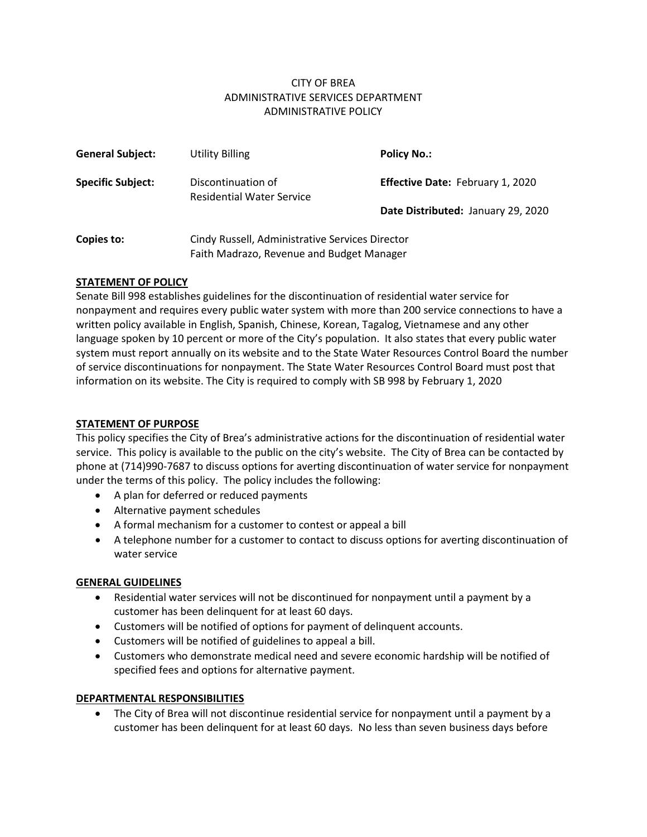## CITY OF BREA ADMINISTRATIVE SERVICES DEPARTMENT ADMINISTRATIVE POLICY

| <b>General Subject:</b>  | Utility Billing                                        | <b>Policy No.:</b>                      |
|--------------------------|--------------------------------------------------------|-----------------------------------------|
| <b>Specific Subject:</b> | Discontinuation of<br><b>Residential Water Service</b> | <b>Effective Date: February 1, 2020</b> |
|                          |                                                        | Date Distributed: January 29, 2020      |
| Copies to:               | Cindy Russell, Administrative Services Director        |                                         |
|                          | Faith Madrazo, Revenue and Budget Manager              |                                         |

### **STATEMENT OF POLICY**

Senate Bill 998 establishes guidelines for the discontinuation of residential water service for nonpayment and requires every public water system with more than 200 service connections to have a written policy available in English, Spanish, Chinese, Korean, Tagalog, Vietnamese and any other language spoken by 10 percent or more of the City's population. It also states that every public water system must report annually on its website and to the State Water Resources Control Board the number of service discontinuations for nonpayment. The State Water Resources Control Board must post that information on its website. The City is required to comply with SB 998 by February 1, 2020

### **STATEMENT OF PURPOSE**

This policy specifies the City of Brea's administrative actions for the discontinuation of residential water service. This policy is available to the public on the city's website. The City of Brea can be contacted by phone at (714)990-7687 to discuss options for averting discontinuation of water service for nonpayment under the terms of this policy. The policy includes the following:

- A plan for deferred or reduced payments
- Alternative payment schedules
- A formal mechanism for a customer to contest or appeal a bill
- A telephone number for a customer to contact to discuss options for averting discontinuation of water service

### **GENERAL GUIDELINES**

- Residential water services will not be discontinued for nonpayment until a payment by a customer has been delinquent for at least 60 days.
- Customers will be notified of options for payment of delinquent accounts.
- Customers will be notified of guidelines to appeal a bill.
- Customers who demonstrate medical need and severe economic hardship will be notified of specified fees and options for alternative payment.

### **DEPARTMENTAL RESPONSIBILITIES**

• The City of Brea will not discontinue residential service for nonpayment until a payment by a customer has been delinquent for at least 60 days. No less than seven business days before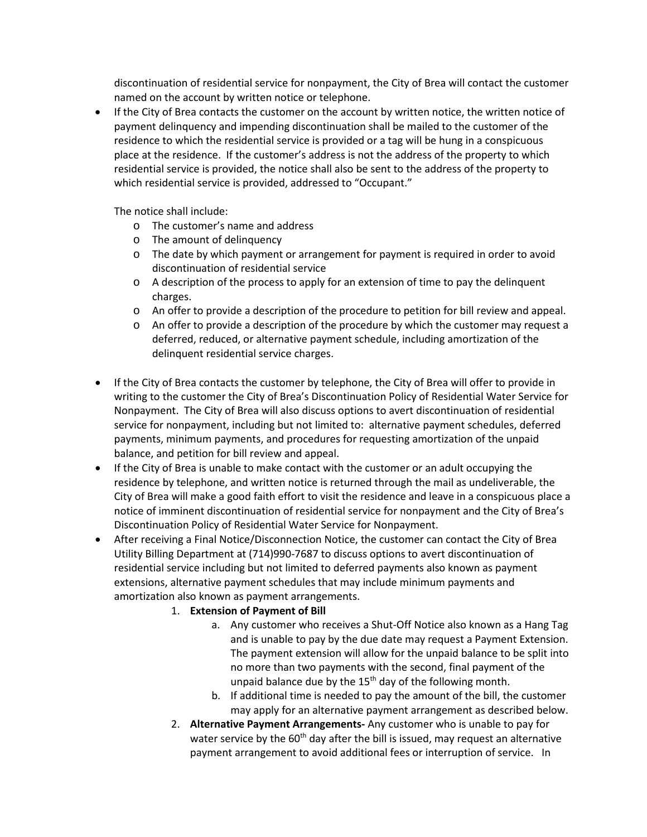discontinuation of residential service for nonpayment, the City of Brea will contact the customer named on the account by written notice or telephone.

• If the City of Brea contacts the customer on the account by written notice, the written notice of payment delinquency and impending discontinuation shall be mailed to the customer of the residence to which the residential service is provided or a tag will be hung in a conspicuous place at the residence. If the customer's address is not the address of the property to which residential service is provided, the notice shall also be sent to the address of the property to which residential service is provided, addressed to "Occupant."

The notice shall include:

- o The customer's name and address
- o The amount of delinquency
- o The date by which payment or arrangement for payment is required in order to avoid discontinuation of residential service
- $\circ$  A description of the process to apply for an extension of time to pay the delinquent charges.
- o An offer to provide a description of the procedure to petition for bill review and appeal.
- o An offer to provide a description of the procedure by which the customer may request a deferred, reduced, or alternative payment schedule, including amortization of the delinquent residential service charges.
- If the City of Brea contacts the customer by telephone, the City of Brea will offer to provide in writing to the customer the City of Brea's Discontinuation Policy of Residential Water Service for Nonpayment. The City of Brea will also discuss options to avert discontinuation of residential service for nonpayment, including but not limited to: alternative payment schedules, deferred payments, minimum payments, and procedures for requesting amortization of the unpaid balance, and petition for bill review and appeal.
- If the City of Brea is unable to make contact with the customer or an adult occupying the residence by telephone, and written notice is returned through the mail as undeliverable, the City of Brea will make a good faith effort to visit the residence and leave in a conspicuous place a notice of imminent discontinuation of residential service for nonpayment and the City of Brea's Discontinuation Policy of Residential Water Service for Nonpayment.
- After receiving a Final Notice/Disconnection Notice, the customer can contact the City of Brea Utility Billing Department at (714)990-7687 to discuss options to avert discontinuation of residential service including but not limited to deferred payments also known as payment extensions, alternative payment schedules that may include minimum payments and amortization also known as payment arrangements.

## 1. **Extension of Payment of Bill**

- a. Any customer who receives a Shut-Off Notice also known as a Hang Tag and is unable to pay by the due date may request a Payment Extension. The payment extension will allow for the unpaid balance to be split into no more than two payments with the second, final payment of the unpaid balance due by the  $15<sup>th</sup>$  day of the following month.
- b. If additional time is needed to pay the amount of the bill, the customer may apply for an alternative payment arrangement as described below.
- 2. **Alternative Payment Arrangements-** Any customer who is unable to pay for water service by the  $60<sup>th</sup>$  day after the bill is issued, may request an alternative payment arrangement to avoid additional fees or interruption of service. In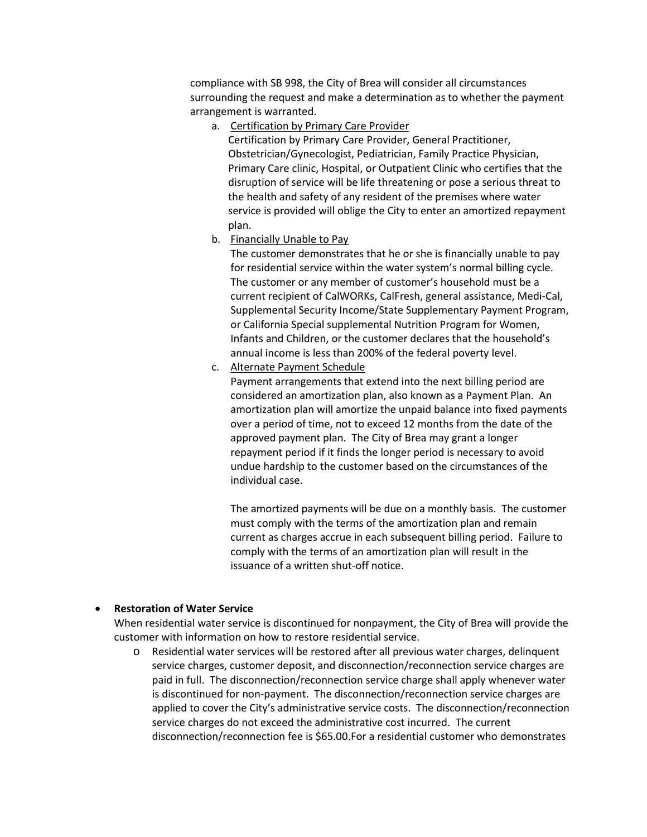compliance with SB 998, the City of Brea will consider all circumstances surrounding the request and make a determination as to whether the payment arrangement is warranted.

a. Certification by Primary Care Provider

Certification by Primary Care Provider, General Practitioner, Obstetrician/Gynecologist, Pediatrician, Family Practice Physician, Primary Care clinic, Hospital, or Outpatient Clinic who certifies that the disruption of service will be life threatening or pose a serious threat to the health and safety of any resident of the premises where water service is provided will oblige the City to enter an amortized repayment plan.

b. Financially Unable to Pay

The customer demonstrates that he or she is financially unable to pay for residential service within the water system's normal billing cycle. The customer or any member of customer's household must be a current recipient of CalWORKs, CalFresh, general assistance, Medi-Cal, Supplemental Security Income/State Supplementary Payment Program, or California Special supplemental Nutrition Program for Women, Infants and Children, or the customer declares that the household's annual income is less than 200% of the federal poverty level.

c. Alternate Payment Schedule

Payment arrangements that extend into the next billing period are considered an amortization plan, also known as a Payment Plan. An amortization plan will amortize the unpaid balance into fixed payments over a period of time, not to exceed 12 months from the date of the approved payment plan. The City of Brea may grant a longer repayment period if it finds the longer period is necessary to avoid undue hardship to the customer based on the circumstances of the individual case.

The amortized payments will be due on a monthly basis. The customer must comply with the terms of the amortization plan and remain current as charges accrue in each subsequent billing period. Failure to comply with the terms of an amortization plan will result in the issuance of a written shut-off notice.

#### • **Restoration of Water Service**

When residential water service is discontinued for nonpayment, the City of Brea will provide the customer with information on how to restore residential service.

o Residential water services will be restored after all previous water charges, delinquent service charges, customer deposit, and disconnection/reconnection service charges are paid in full. The disconnection/reconnection service charge shall apply whenever water is discontinued for non-payment. The disconnection/reconnection service charges are applied to cover the City's administrative service costs. The disconnection/reconnection service charges do not exceed the administrative cost incurred. The current disconnection/reconnection fee is \$65.00.For a residential customer who demonstrates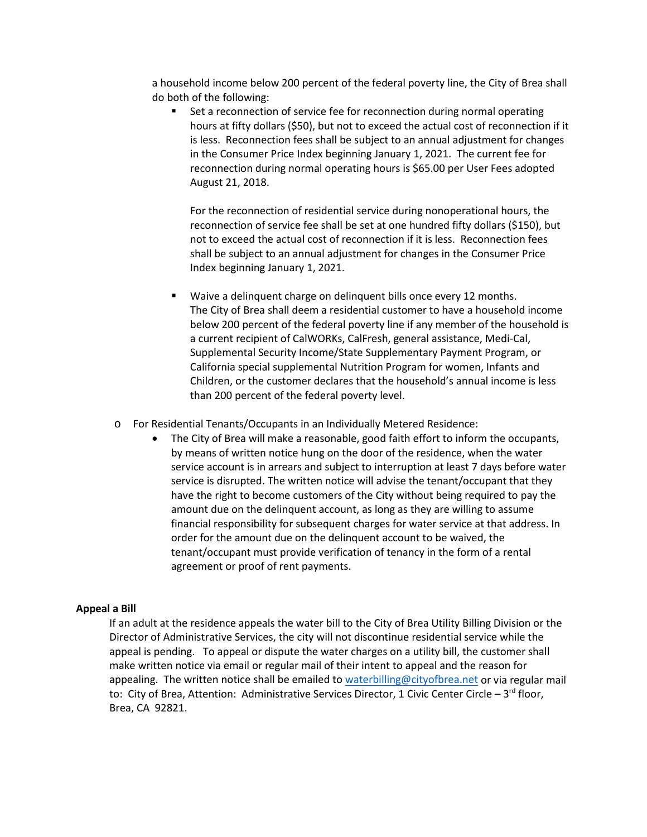a household income below 200 percent of the federal poverty line, the City of Brea shall do both of the following:

 Set a reconnection of service fee for reconnection during normal operating hours at fifty dollars (\$50), but not to exceed the actual cost of reconnection if it is less. Reconnection fees shall be subject to an annual adjustment for changes in the Consumer Price Index beginning January 1, 2021. The current fee for reconnection during normal operating hours is \$65.00 per User Fees adopted August 21, 2018.

For the reconnection of residential service during nonoperational hours, the reconnection of service fee shall be set at one hundred fifty dollars (\$150), but not to exceed the actual cost of reconnection if it is less. Reconnection fees shall be subject to an annual adjustment for changes in the Consumer Price Index beginning January 1, 2021.

- **Waive a delinquent charge on delinquent bills once every 12 months.** The City of Brea shall deem a residential customer to have a household income below 200 percent of the federal poverty line if any member of the household is a current recipient of CalWORKs, CalFresh, general assistance, Medi-Cal, Supplemental Security Income/State Supplementary Payment Program, or California special supplemental Nutrition Program for women, Infants and Children, or the customer declares that the household's annual income is less than 200 percent of the federal poverty level.
- o For Residential Tenants/Occupants in an Individually Metered Residence:
	- The City of Brea will make a reasonable, good faith effort to inform the occupants, by means of written notice hung on the door of the residence, when the water service account is in arrears and subject to interruption at least 7 days before water service is disrupted. The written notice will advise the tenant/occupant that they have the right to become customers of the City without being required to pay the amount due on the delinquent account, as long as they are willing to assume financial responsibility for subsequent charges for water service at that address. In order for the amount due on the delinquent account to be waived, the tenant/occupant must provide verification of tenancy in the form of a rental agreement or proof of rent payments.

### **Appeal a Bill**

If an adult at the residence appeals the water bill to the City of Brea Utility Billing Division or the Director of Administrative Services, the city will not discontinue residential service while the appeal is pending. To appeal or dispute the water charges on a utility bill, the customer shall make written notice via email or regular mail of their intent to appeal and the reason for appealing. The written notice shall be emailed t[o waterbilling@cityofbrea.net](mailto:waterbilling@cityofbrea.net) or via regular mail to: City of Brea, Attention: Administrative Services Director, 1 Civic Center Circle –  $3^{rd}$  floor, Brea, CA 92821.